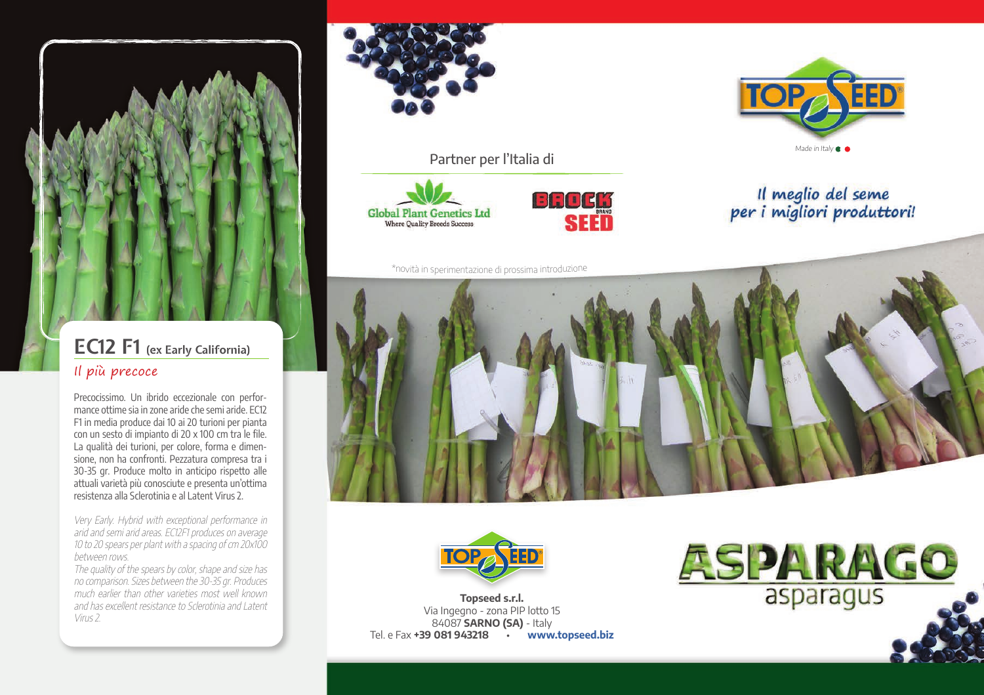

### **EC12 F1 (ex Early California)** Il più precoce

Precocissimo. Un ibrido eccezionale con performance ottime sia in zone aride che semi aride. EC12 F1 in media produce dai 10 ai 20 turioni per pianta con un sesto di impianto di 20 x 100 cm tra le file. La qualità dei turioni, per colore, forma e dimensione, non ha confronti. Pezzatura compresa tra i 30-35 gr. Produce molto in anticipo rispetto alle attuali varietà più conosciute e presenta un'ottima resistenza alla Sclerotinia e al Latent Virus 2.

Very Early. Hybrid with exceptional performance in arid and semi arid areas. EC12F1 produces on average 10 to 20 spears per plant with a spacing of cm 20x100 between rows.

The quality of the spears by color, shape and size has no comparison. Sizes between the 30-35 gr. Produces much earlier than other varieties most well known and has excellent resistance to Sclerotinia and Latent Virus 2.



**Global Plant Genetics Ltd Where Quality Breeds Success** 





\*novit<sup>à</sup> <sup>i</sup><sup>n</sup> <sup>s</sup>perimentazion<sup>e</sup> <sup>d</sup><sup>i</sup> <sup>p</sup>rossim<sup>a</sup> <sup>i</sup>ntr<sup>o</sup>duzion<sup>e</sup>

Partner per l'Italia di

Il meglio del seme<br>per i migliori produttori!





**Topseed s.r.l.** Via Ingegno - zona PIP lotto 15 84087 **SARNO (SA)** - Italy Tel. e Fax **+39 081 943218** • **www.topseed.biz**